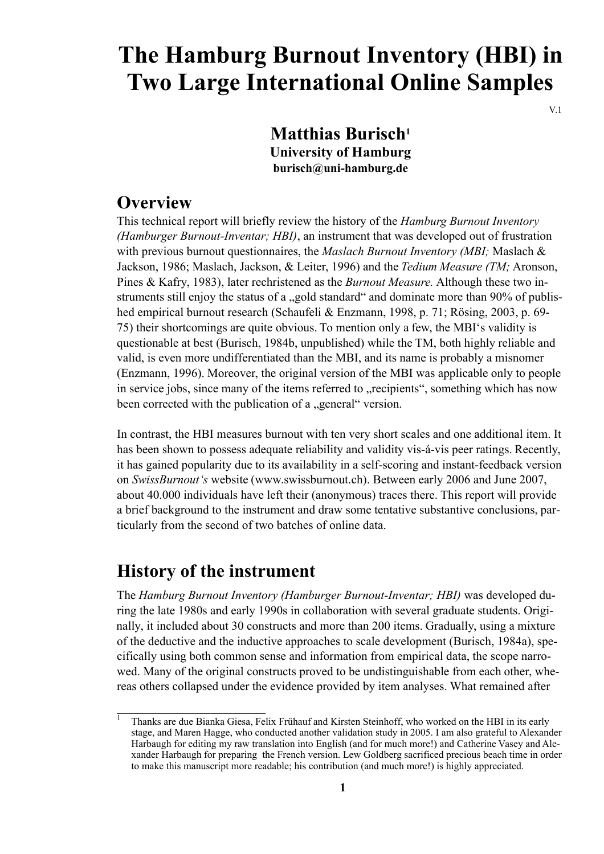# **The Hamburg Burnout Inventory (HBI) in Two Large International Online Samples**

 $V<sub>1</sub>$ 

# **Matthias Burisch**<sup>1</sup> **University of Hamburg burisch@uni-hamburg.de**

# **Overview**

This technical report will briefly review the history of the *Hamburg Burnout Inventory (Hamburger Burnout-Inventar; HBI)*, an instrument that was developed out of frustration with previous burnout questionnaires, the *Maslach Burnout Inventory (MBI;* Maslach & Jackson, 1986; Maslach, Jackson, & Leiter , 1996) and the *T edium Measur e (TM;* Aronson, Pines & Kafry, 1983), later rechristened as the *Burnout Measure*. Although these two instruments still enjoy the status of a "gold standard" and dominate more than 90% of published empirical burnout research (Schaufeli & Enzmann, 1998, p. 71; Rösing, 2003, p. 69- 75) their shortcomings are quite obvious. To mention only a few, the MBI's validity is questionable at best (Burisch, 1984b, unpublished) while the TM, both highly reliable and valid, is even more undifferentiated than the MBI, and its name is probably a misnomer (Enzmann, 1996). Moreover , the original version of the MBI was applicable only to people in service jobs, since many of the items referred to "recipients", something which has now been corrected with the publication of a "general" version.

In contrast, the HBI measures burnout with ten very short scales and one additional item. It has been shown to possess adequate reliability and validity vis-á-vis peer ratings. Recently, it has gained popularity due to its availability in a self-scoring and instant-feedback version on *SwissBurnout's* website (www .swissburnout.ch). Between early 2006 and June 2007, about 40.000 individuals have left their (anonymous) traces there. This report will provide a brief background to the instrument and draw some tentative substantive conclusions, par ticularly from the second of two batches of online data.

# **History of the instrument**

The *Hamburg Burnout Inventory (Hamburger Burnout-Inventar; HBI)* was developed during the late 1980s and early 1990s in collaboration with several graduate students. Originally, it included about 30 constructs and more than 200 items. Gradually, using a mixture of the deductive and the inductive approaches to scale development (Burisch, 1984a), specifically using both common sense and information from empirical data, the scope narrowed. Many of the original constructs proved to be undistinguishable from each other, whereas others collapsed under the evidence provided by item analyses. What remained after

Thanks are due Bianka Giesa, Felix Frühauf and Kirsten Steinhoff, who worked on the HBI in its early stage, and Maren Hagge, who conducted another validation study in 2005. I am also grateful to Alexander Harbaugh for editing my raw translation into English (and for much more!) and Catherine Vasey and Alexander Harbaugh for preparing the French version. Lew Goldberg sacrificed precious beach time in order to make this manuscript more readable; his contribution (and much more!) is highly appreciated.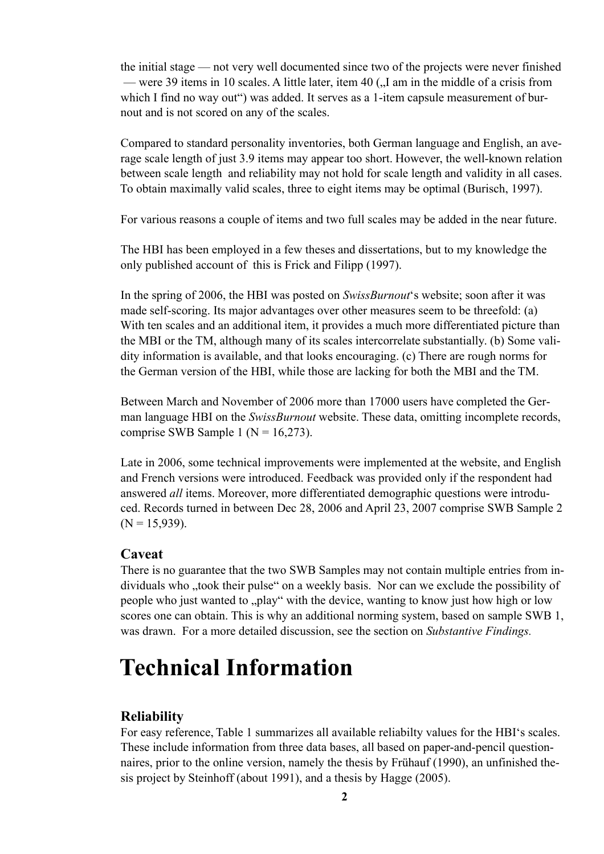the initial stage — not very well documented since two of the projects were never finished — were 39 items in 10 scales. A little later, item 40 ( $\Lambda$ I am in the middle of a crisis from which I find no way out") was added. It serves as a 1-item capsule measurement of burnout and is not scored on any of the scales.

Compared to standard personality inventories, both German language and English, an average scale length of just 3.9 items may appear too short. However, the well-known relation between scale length and reliability may not hold for scale length and validity in all cases. To obtain maximally valid scales, three to eight items may be optimal (Burisch, 1997).

For various reasons a couple of items and two full scales may be added in the near future.

The HBI has been employed in a few theses and dissertations, but to my knowledge the only published account of this is Frick and Filipp (1997).

In the spring of 2006, the HBI was posted on *SwissBurnout* 's website; soon after it was made self-scoring. Its major advantages over other measures seem to be threefold: (a) With ten scales and an additional item, it provides a much more differentiated picture than the MBI or the TM, although many of its scales intercorrelate substantially . (b) Some validity information is available, and that looks encouraging. (c) There are rough norms for the German version of the HBI, while those are lacking for both the MBI and the TM.

Between March and November of 2006 more than 17000 users have completed the Ger man language HBI on the *SwissBurnout* website. These data, omitting incomplete records, comprise SWB Sample 1 ( $N = 16,273$ ).

Late in 2006, some technical improvements were implemented at the website, and English and French versions were introduced. Feedback was provided only if the respondent had answered *all* items. Moreover, more differentiated demographic questions were introduced. Records turned in between Dec 28, 2006 and April 23, 2007 comprise SWB Sample 2  $(N = 15,939)$ .

### **Caveat**

There is no guarantee that the two SWB Samples may not contain multiple entries from individuals who "took their pulse" on a weekly basis. Nor can we exclude the possibility of people who just wanted to "play" with the device, wanting to know just how high or low scores one can obtain. This is why an additional norming system, based on sample SWB 1, was drawn. For a more detailed discussion, see the section on *Substantive Findings.* 

# **Technical Information**

### **Reliability**

For easy reference, Table 1 summarizes all available reliabilty values for the HBI's scales. These include information from three data bases, all based on paper -and-pencil questionnaires, prior to the online version, namely the thesis by Frühauf (1990), an unfinished thesis project by Steinhoff (about 1991), and a thesis by Hagge (2005).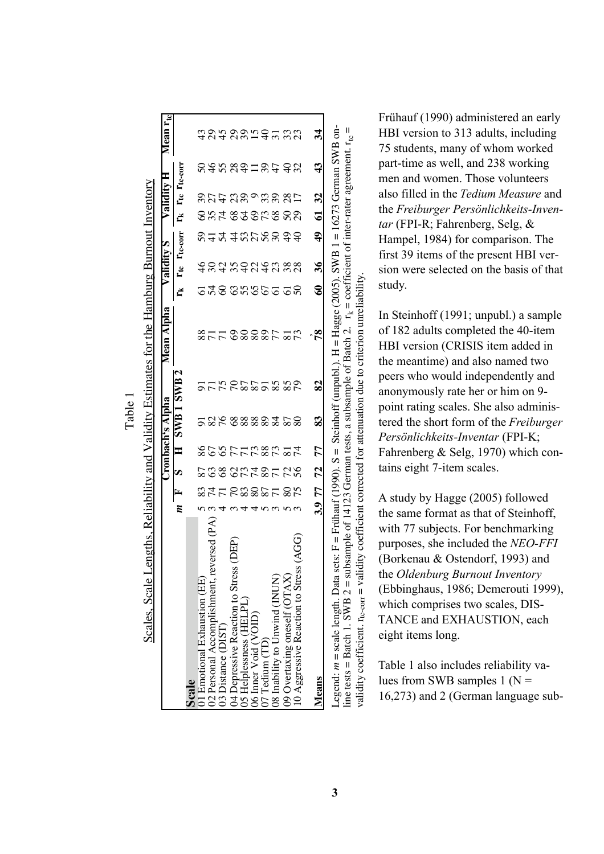|                                                                                                                                                                                                                                                                                         |    |           |                |              | Gubach's Alpha |           | Mean Alpha       |                | Validity S        |            |              | Validity     |             | Mean $r_{tc}$ |
|-----------------------------------------------------------------------------------------------------------------------------------------------------------------------------------------------------------------------------------------------------------------------------------------|----|-----------|----------------|--------------|----------------|-----------|------------------|----------------|-------------------|------------|--------------|--------------|-------------|---------------|
|                                                                                                                                                                                                                                                                                         | m  | E,        | S              | $\mathbf{H}$ | SWB1SWB2       |           |                  |                | $r_{tc}$          | Ttc-corr   |              | Tte Tte-corr |             |               |
| Scale                                                                                                                                                                                                                                                                                   |    |           |                |              |                |           |                  |                |                   |            |              |              |             |               |
| 01 Emotional Exhaustion (EE)                                                                                                                                                                                                                                                            |    |           |                |              |                |           |                  |                |                   |            |              |              |             |               |
|                                                                                                                                                                                                                                                                                         |    |           |                |              |                |           |                  |                |                   |            |              |              |             |               |
| 02 Personal Accomplishment, reversed (PA)<br>03 Distance (DIST)                                                                                                                                                                                                                         |    |           | <b>2882785</b> |              |                |           |                  | 548 35365      |                   |            |              |              |             |               |
|                                                                                                                                                                                                                                                                                         |    |           |                |              |                |           |                  |                |                   |            |              |              |             |               |
|                                                                                                                                                                                                                                                                                         |    |           |                |              |                |           |                  |                |                   |            |              |              |             |               |
|                                                                                                                                                                                                                                                                                         |    |           |                |              |                |           |                  |                |                   |            |              |              |             |               |
|                                                                                                                                                                                                                                                                                         |    |           |                |              |                |           |                  |                |                   |            |              |              |             |               |
| 04 Depressive Reaction to Stress (Jos Helplessness (HELPL)<br>06 Imer Void (VOID)<br>07 Tedium (TD)<br>08 Inability to Unwind (INUN)                                                                                                                                                    | າຕ | 24562255  |                | 20207788724  | 236 88883258   | 222222325 | 8778888752       |                | \$8\$ \$\$8\$8\$8 | 2424252844 | SXT STSPS SR |              | adawaluu da | ธุลรุลลรธุราช |
|                                                                                                                                                                                                                                                                                         |    | 875       |                |              |                |           |                  | $\overline{5}$ |                   |            |              |              |             |               |
| $\overline{\text{S}}$ (AGG<br>09 Overtaxing oneself ( $\text{OTAX}$ )<br>10 Aggressive Reaction to Stress                                                                                                                                                                               |    |           | 28             |              |                |           |                  | င္တ            |                   |            |              |              |             |               |
|                                                                                                                                                                                                                                                                                         |    |           |                |              |                |           |                  |                |                   |            |              |              |             |               |
| Means                                                                                                                                                                                                                                                                                   |    | 3.9 77 72 |                | 77           | 83             | 82        | $\boldsymbol{8}$ | $\bullet$      | $\frac{8}{3}$     | ą,         | 61 32        |              | 43          | 34            |
| egend: <i>m</i> = scale length. Data sets: F = Frühauf (1990). S = Steinhoff (unpubl.). H = Hagge (2005). SWB 1 = 16273 German SWB on-<br>line tests = Batch 1. SWB 2 = subsample of 14123 German tests, a subsample of Batch 2. $r_k$ = coefficient of inter-rater agreement. $r_{te}$ |    |           |                |              |                |           |                  |                |                   |            |              |              |             | Ш             |

Table

Frühauf (1990) administered an early HBI version to 313 adults, including 75 students, many of whom worked part-time as well, and 238 working men and women. Those volunteers also filled in the *Tedium Measure* and the **Freiburger Persönlichkeits-Inven***tar* (FPI-R; Fahrenberg, Selg, & Hampel, 1984) for comparison. The first 39 items of the present HBI version were selected on the basis of that study.

In Steinhoff (1991; unpubl.) a sample of 182 adults completed the 40-item HBI version (CRISIS item added in the meantime) and also named two peers who would independently and anonymously rate her or him on 9 point rating scales. She also administered the short form of the *Freiburger Persönlichkeits-Inventar* (FPI-K; Fahrenberg  $&$  Selg, 1970) which contains eight 7-item scales.

Astudy by Hagge (2005) followed the same format as that of Steinhoff, with 77 subjects. For benchmarking purposes, she included the *NEO-FFI*  (Borkenau & Ostendorf, 1993) and the *Oldenburg Burnout Inventory* (Ebbinghaus, 1986; Demerouti 1999), which comprises two scales, DIS-TANCE and EXHAUSTION, each eight items long.

Table 1 also includes reliability values from SWB samples  $1 (N =$ 16,273) and 2 (German language sub-

validity coefficient.  $r_{\text{te-corr}} =$  validity coefficient corrected for attenuation due to criterion unreliability.

validity coefficient. r<sub>ic-corr</sub> = validity coefficient corrected for attenuation due to criterion unreliability.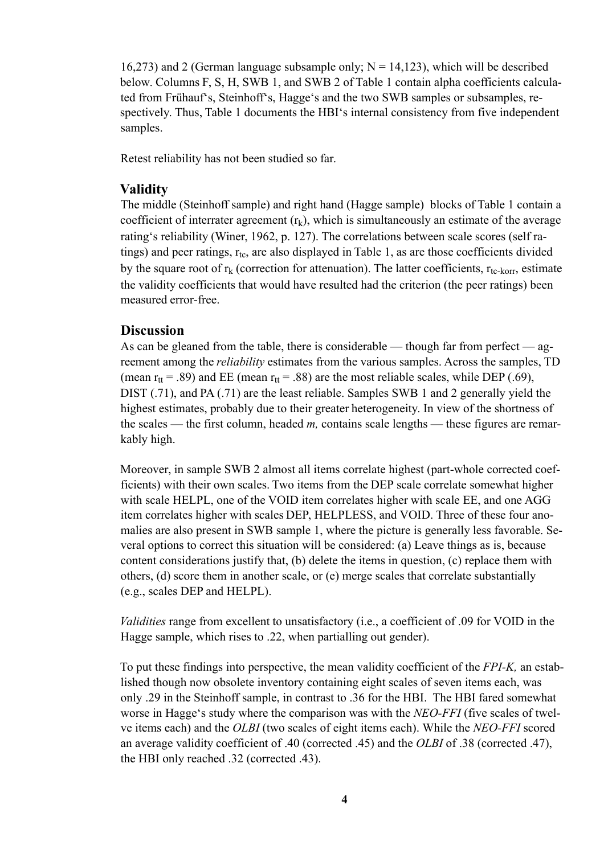16,273) and 2 (German language subsample only;  $N = 14,123$ ), which will be described below. Columns F, S, H, SWB 1, and SWB 2 of Table 1 contain alpha coefficients calculated from Frühauf's, Steinhoff's, Hagge's and the two SWB samples or subsamples, respectively. Thus, Table 1 documents the HBI's internal consistency from five independent samples.

Retest reliability has not been studied so far .

### **Validity**

The middle (Steinhoff sample) and right hand (Hagge sample) blocks of Table 1 contain a coefficient of interrater agreement  $(r_k)$ , which is simultaneously an estimate of the average rating's reliability (Winer, 1962, p. 127). The correlations between scale scores (self ratings) and peer ratings,  $r_{tc}$ , are also displayed in Table 1, as are those coefficients divided by the square root of  $r_k$  (correction for attenuation). The latter coefficients,  $r_{tc-korr}$ , estimate the validity coefficients that would have resulted had the criterion (the peer ratings) been measured error -free.

### **Discussion**

As can be gleaned from the table, there is considerable — though far from perfect — agreement among the *reliability* estimates from the various samples. Across the samples, TD (mean  $r_{tt}$  = .89) and EE (mean  $r_{tt}$  = .88) are the most reliable scales, while DEP (.69), DIST  $(0.71)$ , and PA $(0.71)$  are the least reliable. Samples SWB 1 and 2 generally yield the highest estimates, probably due to their greater heterogeneity . In view of the shortness of the scales — the first column, headed *m,* contains scale lengths — these figures are remar kably high.

Moreover, in sample SWB 2 almost all items correlate highest (part-whole corrected coefficients) with their own scales. Two items from the DEP scale correlate somewhat higher with scale HELPL, one of the VOID item correlates higher with scale EE, and one AGG item correlates higher with scales DEP , HELPLESS, and VOID. Three of these four anomalies are also present in SWB sample 1, where the picture is generally less favorable. Several options to correct this situation will be considered: (a) Leave things as is, because content considerations justify that, (b) delete the items in question, (c) replace them with others,  $(d)$  score them in another scale, or  $(e)$  merge scales that correlate substantially (e.g., scales DEPand HELPL).

*Validities* range from excellent to unsatisfactory (i.e., a coefficient of .09 for VOID in the Hagge sample, which rises to .22, when partialling out gender).

To put these findings into perspective, the mean validity coefficient of the *FPI-K*, an established though now obsolete inventory containing eight scales of seven items each, was only .29 in the Steinhoff sample, in contrast to .36 for the HBI. The HBI fared somewhat worse in Hagge's study where the comparison was with the *NEO-FFI* (five scales of twelve items each) and the *OLBI* (two scales of eight items each). While the *NEO-FFI* scored an average validity coefficient of .40 (corrected .45) and the *OLBI* of .38 (corrected .47), the HBI only reached .32 (corrected .43).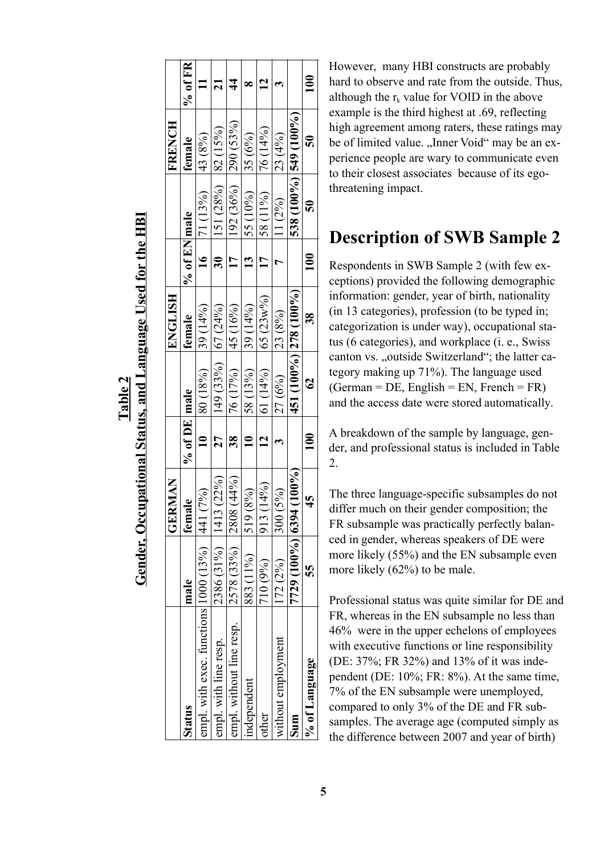# **T ab le2**

# **Gender, Occupational Status, and Language Used for the HBI** Gender, Occupational Status, and Language Used for the HBI

|                                                  |                       | <b>GERMAN</b>                                  |                         |               | ENGLISH      |                 |                       | <b>FRENCH</b> |               |
|--------------------------------------------------|-----------------------|------------------------------------------------|-------------------------|---------------|--------------|-----------------|-----------------------|---------------|---------------|
| Status                                           | male                  | female                                         | % of DE male            |               | female       | % of EN male    |                       | female        | $%$ of FR     |
| empl. with exec. functions $ 1000(13\%) $ $ 441$ |                       | $(7\%)$                                        | $\frac{1}{2}$           | 80 (18%)      | $(39)(14\%)$ |                 | 16   71 $(13\%)$      | 43 (8%)       |               |
| empl. with line resp.                            | 2386 (31%)            | 1413 (22%)                                     | 27                      | 149 (33%)     | 67 (24%)     | $\overline{30}$ | 151 (28%)             | 82 (15%)      |               |
| empl. without line resp.                         | 2578 (33%) 2808 (44%) |                                                | 38<br>                  | 76 (17%)      | 145 (16%)    | $\overline{17}$ | $192(36\%)$ 290 (53%) |               | $\frac{4}{4}$ |
| independent                                      | 883 (11%)             | 519 (8%)                                       | $\overline{\mathbf{u}}$ | 58 (13%)      | 39 (14%)     | $\overline{13}$ | 55 (10%)              | $ 35(6\%)$    |               |
| other                                            | 710 (9%)              | (14%)<br>913                                   | $\mathbf{a}$            | 61 (14%)      | $65 (23w\%)$ | $\overline{17}$ | 58 (11%)              | $ 76(14\%)$   | $\mathbf{r}$  |
| without employment                               | 172(2%)               | 300 (5%)                                       |                         | 27(6%)        | 23 (8%)      |                 | $11(2\%)$             | 23 (4%)       |               |
| Sum                                              |                       | $77729$ (100 $\frac{1000}{6394}$ (59 $100\%$ ) |                         |               |              |                 | 538 (100%) 545 (100%) |               |               |
| % of Language                                    | 55                    | 45                                             | 100                     | $\mathcal{S}$ | 38           | $\frac{1}{100}$ | 50                    | $\mathbf{S}$  | 100           |

However, many HBI constructs are probably hard to observe and rate from the outside. Thus, although the  $r_k$  value for VOID in the above example is the third highest at .69, reflecting high agreement among raters, these ratings may be of limited value. "Inner Void" may be an experience people are wary to communicate even to their closest associates because of its egothreatening impact.

# **Description of SWB Sample 2**

Respondents in SWB Sample 2 (with few exceptions) provided the following demographic information: gender, year of birth, nationality (in 13 categories), profession (to be typed in; categorization is under way), occupational status (6 categories), and workplace (i. e., Swiss canton vs. "outside Switzerland"; the latter category making up 71%). The language used  $(German = DE, English = EN, French = FR)$ and the access date were stored automatically.

Abreakdown of the sample by language, gender, and professional status is included in Table 2.

The three language-specific subsamples do not differ much on their gender composition; the FR subsample was practically perfectly balanced in gender, whereas speakers of DE were more likely (55%) and the EN subsample even more likely (62%) to be male.

Professional status was quite similar for DE and FR, whereas in the EN subsample no less than 46% were in the upper echelons of employees with executive functions or line responsibility (DE: 37%; FR 32%) and 13% of it was independent (DE: 10%; FR: 8%). At the same time, 7% of the EN subsample were unemployed, compared to only 3% of the DE and FR subsamples. The average age (computed simply as the difference between 2007 and year of birth)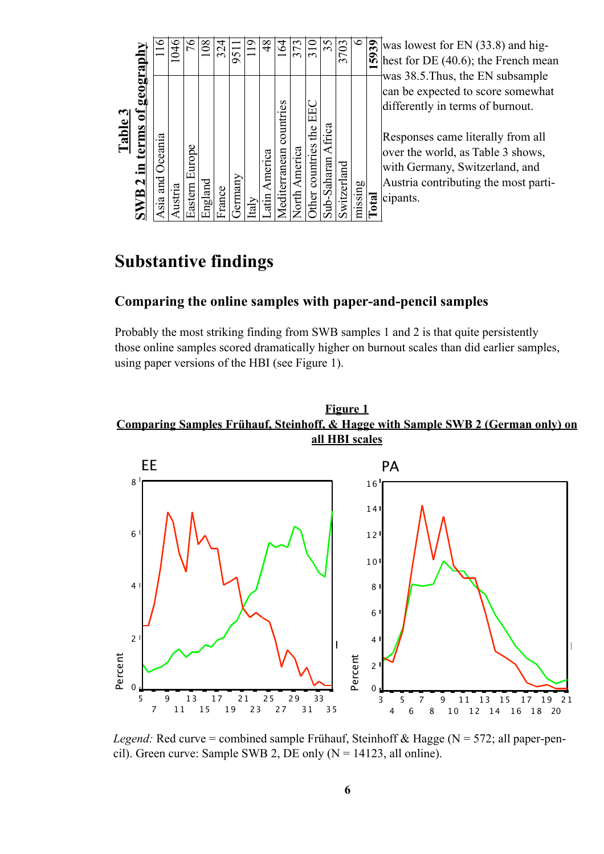| $\circ$<br>3703<br>witzerland                              | 35<br>Sub-Saharan Africa | $\frac{1}{3}$<br>ther countries the EE | 373<br>Jorth America | $\overline{6}$<br>Tes<br>lediterranean countr | $\frac{8}{3}$<br>atin America | $t$ aly | 9511<br>iermany | 324<br>France | $^{\rm 80}$<br>England | Eastern Europe | $\frac{4}{6}$ | Table 3<br>Asia and Oceania<br>ustria |
|------------------------------------------------------------|--------------------------|----------------------------------------|----------------------|-----------------------------------------------|-------------------------------|---------|-----------------|---------------|------------------------|----------------|---------------|---------------------------------------|
|                                                            |                          |                                        |                      |                                               |                               |         |                 |               |                        |                |               |                                       |
| Comparing the online samples with paper-a                  |                          |                                        |                      |                                               |                               |         |                 |               |                        |                |               |                                       |
| $SWB2$ in terms of geograph<br><b>Substantive findings</b> |                          |                                        |                      |                                               |                               |         |                 |               |                        |                |               |                                       |

was lowest for EN (33.8) and highest for DE (40.6); the French mean was 38.5.Thus, the EN subsample can be expected to score somewhat differently in terms of burnout.

Responses came literally from all over the world, as Table 3 shows, with Germany, Switzerland, and Austria contributing the most participants.

# **Substantive findings**

## **Comparing the online samples with paper-and-pencil samples**

Probably the most striking finding from SWB samples 1 and 2 is that quite persistently those online samples scored dramatically higher on burnout scales than did earlier samples,





*Legend:* Red curve = combined sample Frühauf, Steinhoff & Hagge (N = 572; all paper-pencil). Green curve: Sample SWB 2, DE only  $(N = 14123, \text{ all online})$ .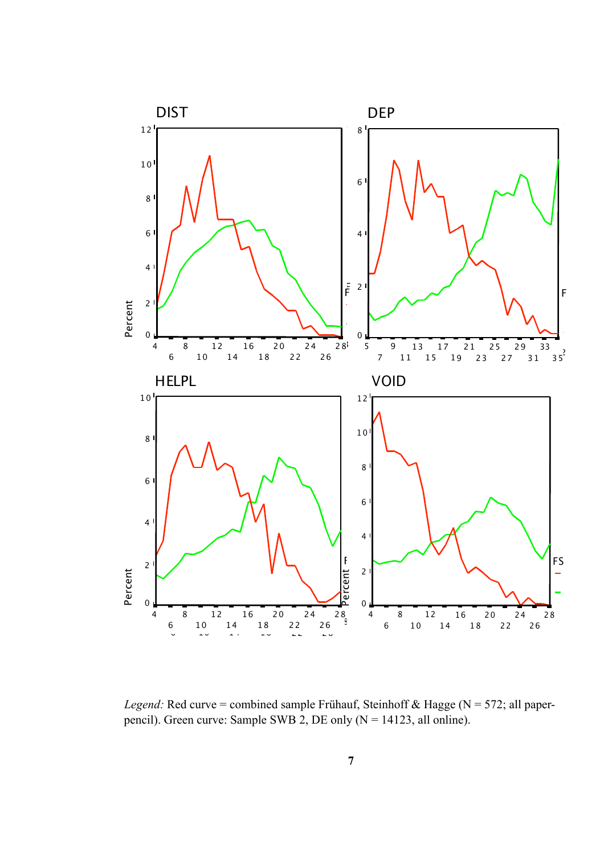

*Legend:* Red curve = combined sample Frühauf, Steinhoff & Hagge ( $N = 572$ ; all paperpencil). Green curve: Sample SWB 2, DE only  $(N = 14123,$  all online).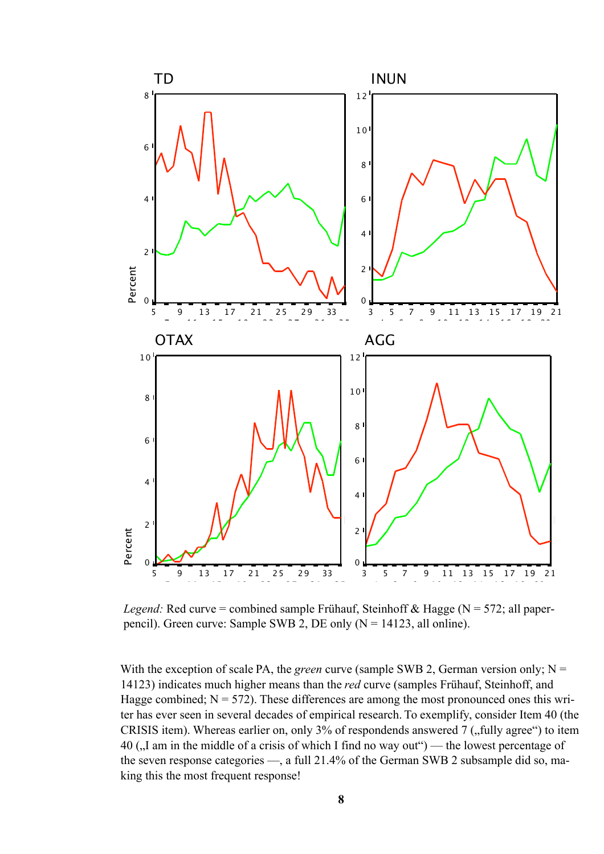

*Legend:* Red curve = combined sample Frühauf, Steinhoff & Hagge ( $N = 572$ ; all paperpencil). Green curve: Sample SWB 2, DE only  $(N = 14123,$  all online).

With the exception of scale PA, the *green* curve (sample SWB 2, German version only;  $N =$ 14123) indicates much higher means than the *red* curve (samples Frühauf, Steinhoff, and Hagge combined;  $N = 572$ ). These differences are among the most pronounced ones this writer has ever seen in several decades of empirical research. To exemplify, consider Item 40 (the CRISIS item). Whereas earlier on, only  $3\%$  of respondends answered 7 (, fully agree") to item 40 ( $\mu$ I am in the middle of a crisis of which I find no way out") — the lowest percentage of the seven response categories —, a full 21.4% of the German SWB 2 subsample did so, making this the most frequent response!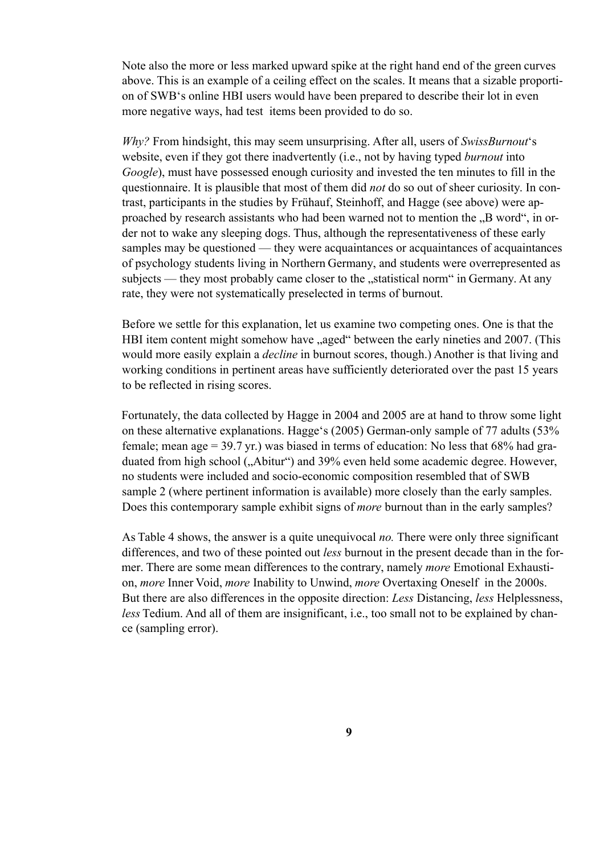Note also the more or less marked upward spike at the right hand end of the green curves above. This is an example of a ceiling effect on the scales. It means that a sizable proportion of SWB's online HBI users would have been prepared to describe their lot in even more negative ways, had test items been provided to do so.

*Why?* From hindsight, this may seem unsurprising. After all, users of *SwissBurnout* 's website, even if they got there inadvertently (i.e., not by having typed *burnout* into *Google*), must have possessed enough curiosity and invested the ten minutes to fill in the questionnaire. It is plausible that most of them did *not* do so out of sheer curiosity . In contrast, participants in the studies by Frühauf, Steinhoff, and Hagge (see above) were approached by research assistants who had been warned not to mention the ..B word", in order not to wake any sleeping dogs. Thus, although the representativeness of these early samples may be questioned — they were acquaintances or acquaintances of acquaintances of psychology students living in Northern Germany , and students were overrepresented as subjects — they most probably came closer to the "statistical norm" in Germany. At any rate, they were not systematically preselected in terms of burnout.

Before we settle for this explanation, let us examine two competing ones. One is that the HBI item content might somehow have "aged" between the early nineties and 2007. (This would more easily explain a *decline* in burnout scores, though.) Another is that living and working conditions in pertinent areas have sufficiently deteriorated over the past 15 years to be reflected in rising scores.

Fortunately, the data collected by Hagge in 2004 and 2005 are at hand to throw some light on these alternative explanations. Hagge's (2005) German-only sample of 77 adults (53% female; mean age = 39.7 yr .) was biased in terms of education: No less that 68% had graduated from high school ("Abitur") and 39% even held some academic degree. However, no students were included and socio-economic composition resembled that of SWB sample 2 (where pertinent information is available) more closely than the early samples. Does this contemporary sample exhibit signs of *more* burnout than in the early samples?

As Table 4 shows, the answer is a quite unequivocal *no*. There were only three significant differences, and two of these pointed out *less* burnout in the present decade than in the former. There are some mean differences to the contrary, namely *more* Emotional Exhaustion, *more* Inner Void, *more* Inability to Unwind, *more* Overtaxing Oneself in the 2000s. But there are also dif ferences in the opposite direction: *Less* Distancing, *less* Helplessness, *less* Tedium. And all of them are insignificant, *i.e.*, too small not to be explained by chance (sampling error).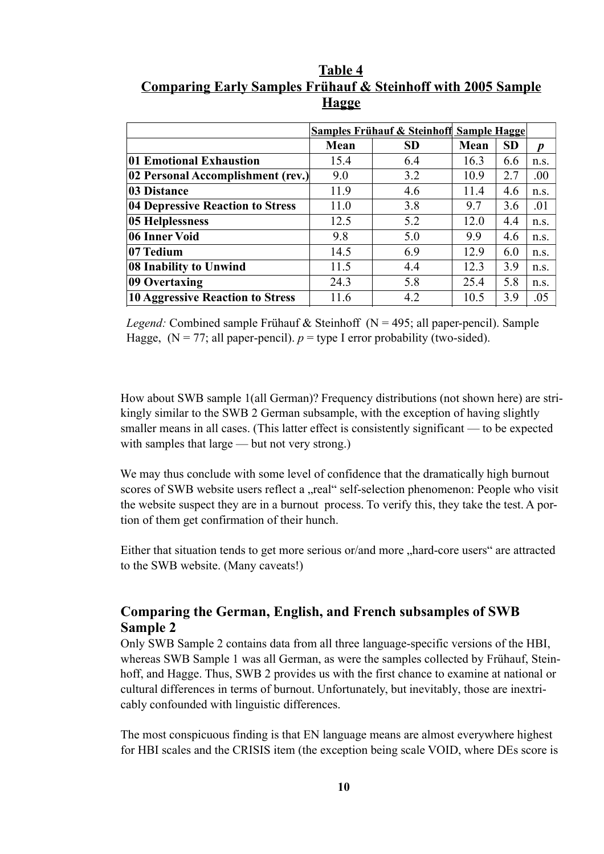Table 4 **Comparing Early Samples Frühauf & Steinhoff with 2005 Sample Hagge** 

|                                     |      | <b>Samples Frühauf &amp; Steinhoff Sample Hagge</b> |      |           |                  |
|-------------------------------------|------|-----------------------------------------------------|------|-----------|------------------|
|                                     | Mean | <b>SD</b>                                           | Mean | <b>SD</b> | $\boldsymbol{p}$ |
| 01 Emotional Exhaustion             | 15.4 | 6.4                                                 | 16.3 | 6.6       | n.s.             |
| [02 Personal Accomplishment (rev.)] | 9.0  | 3.2                                                 | 10.9 | 2.7       | .00.             |
| 03 Distance                         | 11.9 | 4.6                                                 | 11.4 | 4.6       | n.S.             |
| 04 Depressive Reaction to Stress    | 11.0 | 3.8                                                 | 9.7  | 3.6       | .01              |
| 05 Helplessness                     | 12.5 | 5.2                                                 | 12.0 | 4.4       | n.s.             |
| 06 Inner Void                       | 9.8  | 5.0                                                 | 9.9  | 4.6       | n.s.             |
| 07 Tedium                           | 14.5 | 6.9                                                 | 12.9 | 6.0       | n.s.             |
| 08 Inability to Unwind              | 11.5 | 4.4                                                 | 12.3 | 3.9       | n.s.             |
| 09 Overtaxing                       | 24.3 | 5.8                                                 | 25.4 | 5.8       | n.s.             |
| 10 Aggressive Reaction to Stress    | 11.6 | 4.2                                                 | 10.5 | 3.9       | .05              |

*Legend:* Combined sample Frühauf & Steinhoff ( $N = 495$ ; all paper-pencil). Sample Hagge,  $(N = 77;$  all paper-pencil).  $p =$  type I error probability (two-sided).

How about SWB sample 1(all German)? Frequency distributions (not shown here) are strikingly similar to the SWB 2 German subsample, with the exception of having slightly smaller means in all cases. (This latter effect is consistently significant — to be expected with samples that large — but not very strong.)

We may thus conclude with some level of confidence that the dramatically high burnout scores of SWB website users reflect a "real" self-selection phenomenon: People who visit the website suspect they are in a burnout process. To verify this, they take the test. A portion of them get confirmation of their hunch.

Either that situation tends to get more serious or/and more "hard-core users" are attracted to the SWB website. (Many caveats!)

### **Comparing the German, English, and French subsamples of SWB Sample 2**

Only SWB Sample 2 contains data from all three language-specific versions of the HBI, whereas SWB Sample 1 was all German, as were the samples collected by Frühauf, Steinhoff, and Hagge. Thus, SWB 2 provides us with the first chance to examine at national or cultural dif ferences in terms of burnout. Unfortunately , but inevitably , those are inextricably confounded with linguistic differences.

The most conspicuous finding is that EN language means are almost everywhere highest for HBI scales and the CRISIS item (the exception being scale VOID, where DEs score is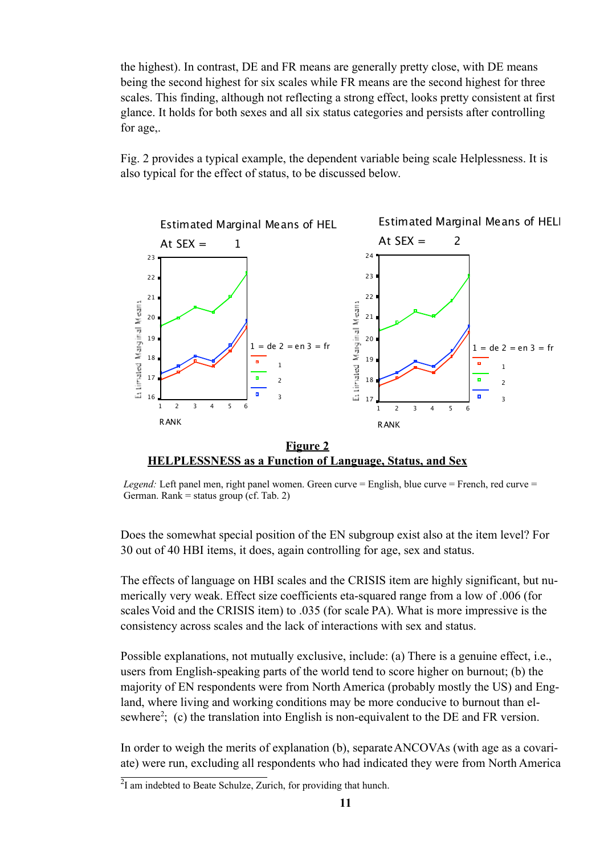the highest). In contrast, DE and FR means are generally pretty close, with DE means being the second highest for six scales while FR means are the second highest for three scales. This finding, although not reflecting a strong effect, looks pretty consistent at first glance. It holds for both sexes and all six status categories and persists after controlling for age,.

Fig. 2 provides a typical example, the dependent variable being scale Helplessness. It is also typical for the effect of status, to be discussed below.



*Legend:* Left panel men, right panel women. Green curve = English, blue curve = French, red curve = German. Rank = status group (cf. Tab. 2)

Does the somewhat special position of the EN subgroup exist also at the item level? For 30 out of 40 HBI items, it does, again controlling for age, sex and status.

The effects of language on HBI scales and the CRISIS item are highly significant, but numerically very weak. Effect size coefficients eta-squared range from a low of .006 (for scales Void and the CRISIS item) to .035 (for scale PA). What is more impressive is the consistency across scales and the lack of interactions with sex and status.

Possible explanations, not mutually exclusive, include: (a) There is a genuine effect, i.e., users from English-speaking parts of the world tend to score higher on burnout; (b) the majority of EN respondents were from North America (probably mostly the US) and England, where living and working conditions may be more conducive to burnout than elsewhere<sup>2</sup>: (c) the translation into English is non-equivalent to the DE and FR version.

In order to weigh the merits of explanation (b), separate ANCOVAs (with age as a covariate) were run, excluding all respondents who had indicated they were from North America

 $^{2}I$  am indebted to Beate Schulze, Zurich, for providing that hunch.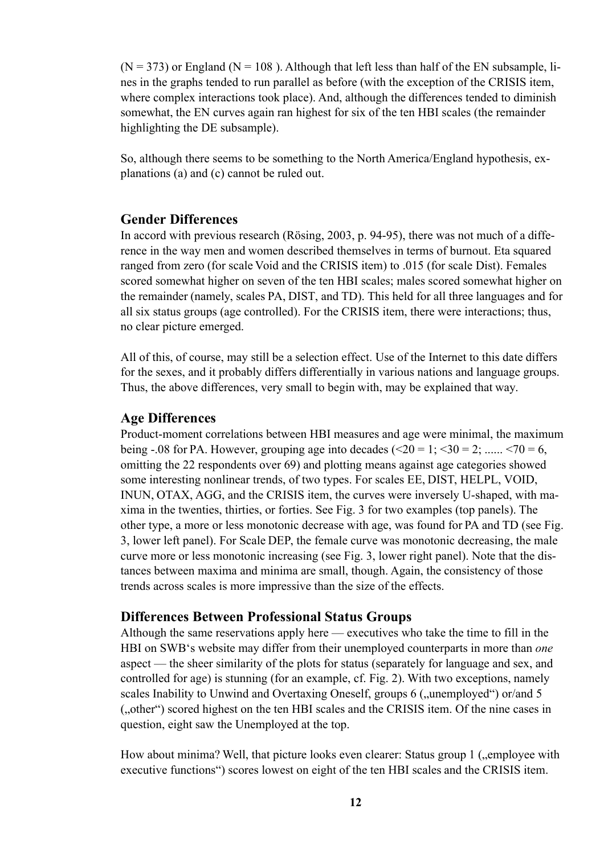$(N = 373)$  or England ( $N = 108$ ). Although that left less than half of the EN subsample, lines in the graphs tended to run parallel as before (with the exception of the CRISIS item, where complex interactions took place). And, although the differences tended to diminish somewhat, the EN curves again ran highest for six of the ten HBI scales (the remainder highlighting the DE subsample).

So, although there seems to be something to the North America/England hypothesis, explanations (a) and (c) cannot be ruled out.

### **Gender Differences**

In accord with previous research (Rösing, 2003, p. 94-95), there was not much of a difference in the way men and women described themselves in terms of burnout. Eta squared ranged from zero (for scale Void and the CRISIS item) to .015 (for scale Dist). Females scored somewhat higher on seven of the ten HBI scales; males scored somewhat higher on the remainder (namely, scales PA, DIST, and TD). This held for all three languages and for all six status groups (age controlled). For the CRISIS item, there were interactions; thus, no clear picture emerged.

All of this, of course, may still be a selection effect. Use of the Internet to this date differs for the sexes, and it probably differs differentially in various nations and language groups. Thus, the above differences, very small to begin with, may be explained that way.

### **Age Differences**

Product-moment correlations between HBI measures and age were minimal, the maximum being -.08 for PA. However, grouping age into decades  $(\leq 20 = 1; \leq 30 = 2; \dots, \leq 70 = 6,$ omitting the 22 respondents over 69) and plotting means against age categories showed some interesting nonlinear trends, of two types. For scales EE, DIST, HELPL, VOID, INUN, OTAX, AGG, and the CRISIS item, the curves were inversely U-shaped, with maxima in the twenties, thirties, or forties. See Fig. 3 for two examples (top panels). The other type, a more or less monotonic decrease with age, was found for PA and TD (see Fig. 3, lower left panel). For Scale DEP , the female curve was monotonic decreasing, the male curve more or less monotonic increasing (see Fig. 3, lower right panel). Note that the distances between maxima and minima are small, though. Again, the consistency of those trends across scales is more impressive than the size of the effects.

### **Differences Between Professional Status Groups**

Although the same reservations apply here — executives who take the time to fill in the HBI on SWB's website may differ from their unemployed counterparts in more than *one* aspect — the sheer similarity of the plots for status (separately for language and sex, and controlled for age) is stunning (for an example, cf. Fig. 2). With two exceptions, namely scales Inability to Unwind and Overtaxing Oneself, groups 6 ("unemployed") or/and 5 ("other") scored highest on the ten HBI scales and the CRISIS item. Of the nine cases in question, eight saw the Unemployed at the top.

How about minima? Well, that picture looks even clearer: Status group 1 (,,employee with executive functions") scores lowest on eight of the ten HBI scales and the CRISIS item.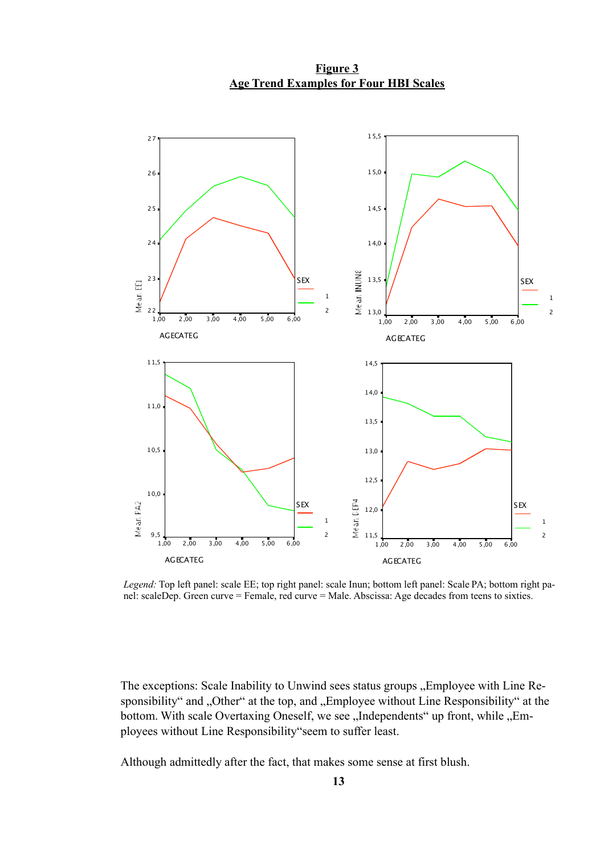15,5 2 7  $15,0$ 2 6 14,5 2 5 2 4 14,0 Mean INUNS 2 3 **SEX** 1 3,5 **SEX** Mean<sub>ED</sub> 1 1  $\overline{2}$ 2 1 3,0 2  $1,00$   $2,00$   $3,00$   $4,00$   $5,00$   $6,00$  $1,00$   $2,00$   $3,00$   $4,00$   $5,00$   $6,00$ A G E CATE G A G E CATE G  $11.5$ 14,5 14,0 11,0  $13,5$  $10,5$ 13,0  $12,5$  $10,0$ **SEX** Mean DEP4 S EX Mean PA2 12,0 1 1 1 1,5 9 , 5 2 2  $\overline{1,00}$  2,00 3,00 4,00 5,00 6,00 1,00 2,00 3,00 4,00 5,00 6,00 A G E CATE G A G E CATE G

**Figure 3 Age Trend Examples for Four HBI Scales** 

*Legend:* Top left panel: scale EE; top right panel: scale Inun; bottom left panel: Scale PA; bottom right panel: scaleDep. Green curve = Female, red curve = Male. Abscissa: Age decades from teens to sixties.

The exceptions: Scale Inability to Unwind sees status groups "Employee with Line Responsibility" and "Other" at the top, and "Employee without Line Responsibility" at the bottom. With scale Overtaxing Oneself, we see "Independents" up front, while "Employees without Line Responsibility seem to suffer least.

Although admittedly after the fact, that makes some sense at first blush.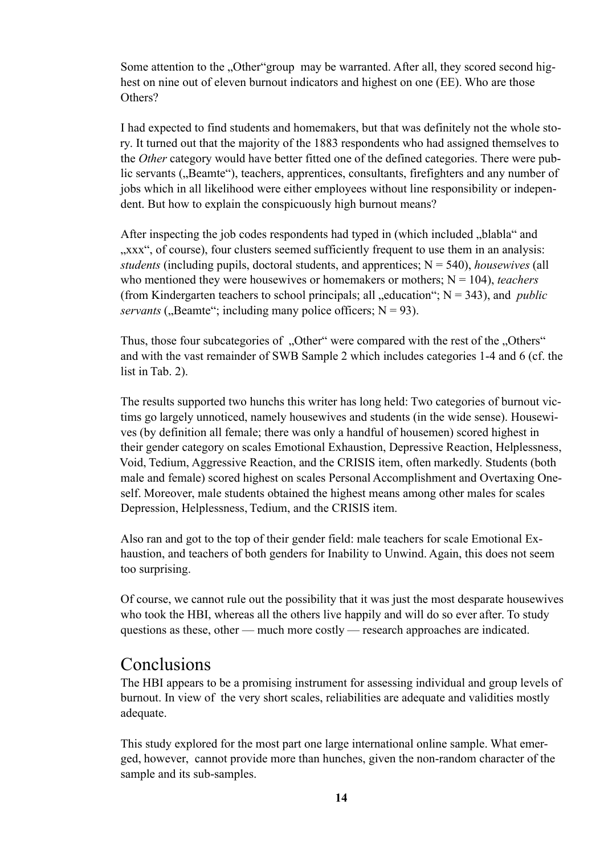Some attention to the "Other"group may be warranted. After all, they scored second highest on nine out of eleven burnout indicators and highest on one (EE). Who are those Others?

I had expected to find students and homemakers, but that was definitely not the whole story . It turned out that the majority of the 1883 respondents who had assigned themselves to the *Other* category would have better fitted one of the defined categories. There were public servants ("Beamte"), teachers, apprentices, consultants, firefighters and any number of jobs which in all likelihood were either employees without line responsibility or independent. But how to explain the conspicuously high burnout means?

After inspecting the job codes respondents had typed in (which included "blabla" and ", xxx", of course), four clusters seemed sufficiently frequent to use them in an analysis: *students* (including pupils, doctoral students, and apprentices; N = 540), *housewives* (all who mentioned they were housewives or homemakers or mothers;  $N = 104$ ), *teachers* (from Kindergarten teachers to school principals; all  $\alpha$ -education"; N = 343), and *public servants* ("Beamte"; including many police officers;  $N = 93$ ).

Thus, those four subcategories of "Other" were compared with the rest of the "Others" and with the vast remainder of SWB Sample 2 which includes categories 1-4 and 6 (cf. the list in Tab.  $2$ ).

The results supported two hunchs this writer has long held: Two categories of burnout victims go largely unnoticed, namely housewives and students (in the wide sense). Housewives (by definition all female; there was only a handful of housemen) scored highest in their gender category on scales Emotional Exhaustion, Depressive Reaction, Helplessness, Void, Tedium, Aggressive Reaction, and the CRISIS item, often markedly. Students (both male and female) scored highest on scales Personal Accomplishment and Overtaxing Oneself. Moreover, male students obtained the highest means among other males for scales Depression, Helplessness, Tedium, and the CRISIS item.

Also ran and got to the top of their gender field: male teachers for scale Emotional Exhaustion, and teachers of both genders for Inability to Unwind. Again, this does not seem too surprising.

Of course, we cannot rule out the possibility that it was just the most desparate housewives who took the HBI, whereas all the others live happily and will do so ever after. To study questions as these, other — much more costly — research approaches are indicated.

# Conclusions

The HBI appears to be a promising instrument for assessing individual and group levels of burnout. In view of the very short scales, reliabilities are adequate and validities mostly adequate.

This study explored for the most part one large international online sample. What emerged, however, cannot provide more than hunches, given the non-random character of the sample and its sub-samples.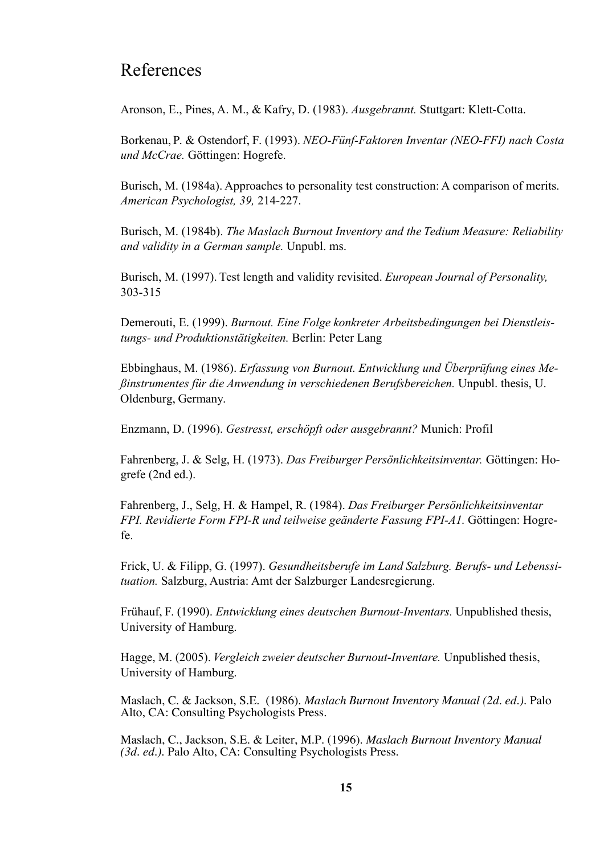# References

Aronson, E., Pines, A. M., & Kafry, D. (1983). *Ausgebrannt*. Stuttgart: Klett-Cotta.

Borkenau, P. & Ostendorf, F. (1993). *NEO-Fünf-Faktoren Inventar (NEO-FFI) nach Costa und McCrae.* Göttingen: Hogrefe.

Burisch, M. (1984a). Approaches to personality test construction: A comparison of merits. *American Psychologist, 39,* 214-227.

Burisch, M. (1984b). *The Maslach Burnout Inventory and the Tedium Measure: Reliability and validity in a German sample.* Unpubl. ms.

Burisch, M. (1997). Test length and validity revisited. *European Journal of Personality*, 303-315

Demerouti, E. (1999). *Burnout. Eine Folge konkreter Arbeitsbedingungen bei Dienstleis*tungs- und Produktionstätigkeiten. Berlin: Peter Lang

Ebbinghaus, M. (1986). *Erfassung von Burnout. Entwicklung und Überprüfung eines Meßinstrumentes für die Anwendung in verschiedenen Berufsber eichen.* Unpubl. thesis, U. Oldenburg, Germany.

Enzmann, D. (1996). *Gestresst, erschöpft oder ausgebrannt?* Munich: Profil

Fahrenberg, J. & Selg, H. (1973). *Das Freiburger Persönlichkeitsinventar*. Göttingen: Hogrefe (2nd ed.).

Fahrenberg, J., Selg, H. & Hampel, R. (1984). *Das Freiburger Persönlichkeitsinventar FPI. Revidierte Form FPI-R und teilweise geänderte Fassung FPI-A1.* Göttingen: Hogrefe.

Frick, U. & Filipp, G. (1997). *Gesundheitsberufe im Land Salzburg. Berufs- und Lebenssi*tuation. Salzburg, Austria: Amt der Salzburger Landesregierung.

Frühauf, F. (1990). *Entwicklung eines deutschen Burnout-Inventars*. Unpublished thesis, University of Hamburg.

Hagge, M. (2005). *Vergleich zweier deutscher Burnout-Inventare*. Unpublished thesis, University of Hamburg.

Maslach, C. & Jackson, S.E. (1986). *Maslach Burnout Inventory Manual (2d. ed.).* Palo Alto, CA: Consulting Psychologists Press.

Maslach, C., Jackson, S.E. & Leiter, M.P. (1996). *Maslach Burnout Inventory Manual (3d. ed.).* Palo Alto, CA: Consulting Psychologists Press.